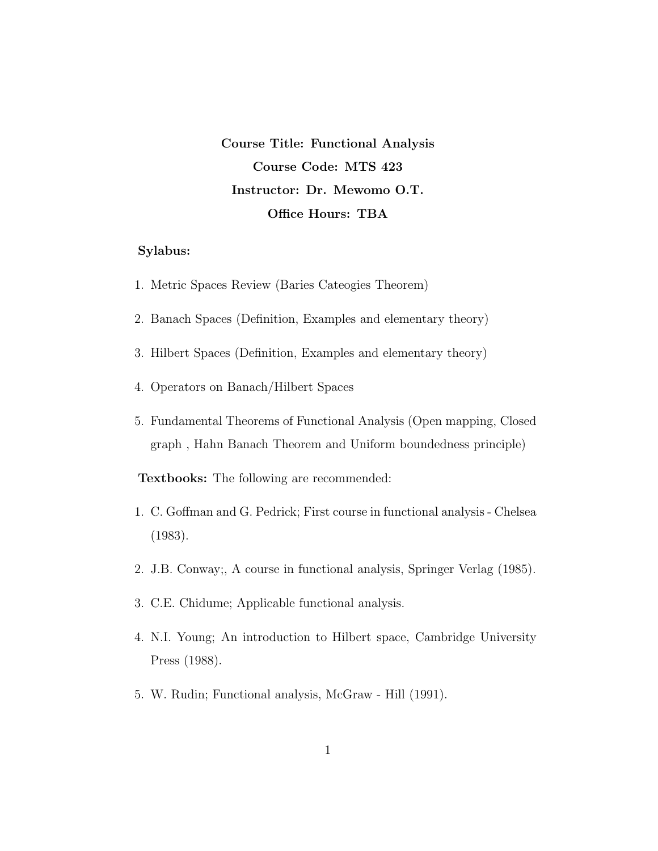Course Title: Functional Analysis Course Code: MTS 423 Instructor: Dr. Mewomo O.T. Office Hours: TBA

# Sylabus:

- 1. Metric Spaces Review (Baries Cateogies Theorem)
- 2. Banach Spaces (Definition, Examples and elementary theory)
- 3. Hilbert Spaces (Definition, Examples and elementary theory)
- 4. Operators on Banach/Hilbert Spaces
- 5. Fundamental Theorems of Functional Analysis (Open mapping, Closed graph , Hahn Banach Theorem and Uniform boundedness principle)

Textbooks: The following are recommended:

- 1. C. Goffman and G. Pedrick; First course in functional analysis Chelsea (1983).
- 2. J.B. Conway;, A course in functional analysis, Springer Verlag (1985).
- 3. C.E. Chidume; Applicable functional analysis.
- 4. N.I. Young; An introduction to Hilbert space, Cambridge University Press (1988).
- 5. W. Rudin; Functional analysis, McGraw Hill (1991).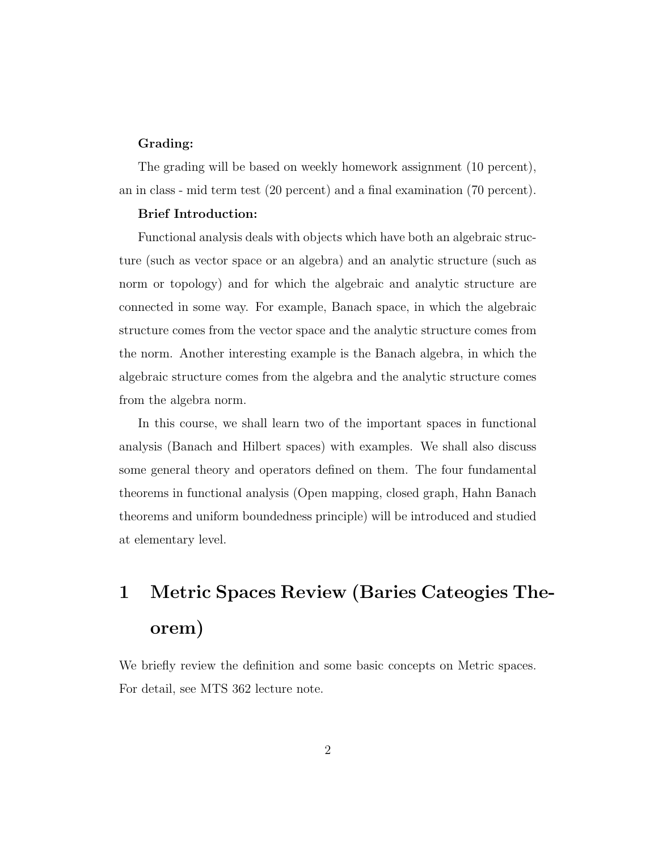#### Grading:

The grading will be based on weekly homework assignment (10 percent), an in class - mid term test (20 percent) and a final examination (70 percent).

### Brief Introduction:

Functional analysis deals with objects which have both an algebraic structure (such as vector space or an algebra) and an analytic structure (such as norm or topology) and for which the algebraic and analytic structure are connected in some way. For example, Banach space, in which the algebraic structure comes from the vector space and the analytic structure comes from the norm. Another interesting example is the Banach algebra, in which the algebraic structure comes from the algebra and the analytic structure comes from the algebra norm.

In this course, we shall learn two of the important spaces in functional analysis (Banach and Hilbert spaces) with examples. We shall also discuss some general theory and operators defined on them. The four fundamental theorems in functional analysis (Open mapping, closed graph, Hahn Banach theorems and uniform boundedness principle) will be introduced and studied at elementary level.

# 1 Metric Spaces Review (Baries Cateogies Theorem)

We briefly review the definition and some basic concepts on Metric spaces. For detail, see MTS 362 lecture note.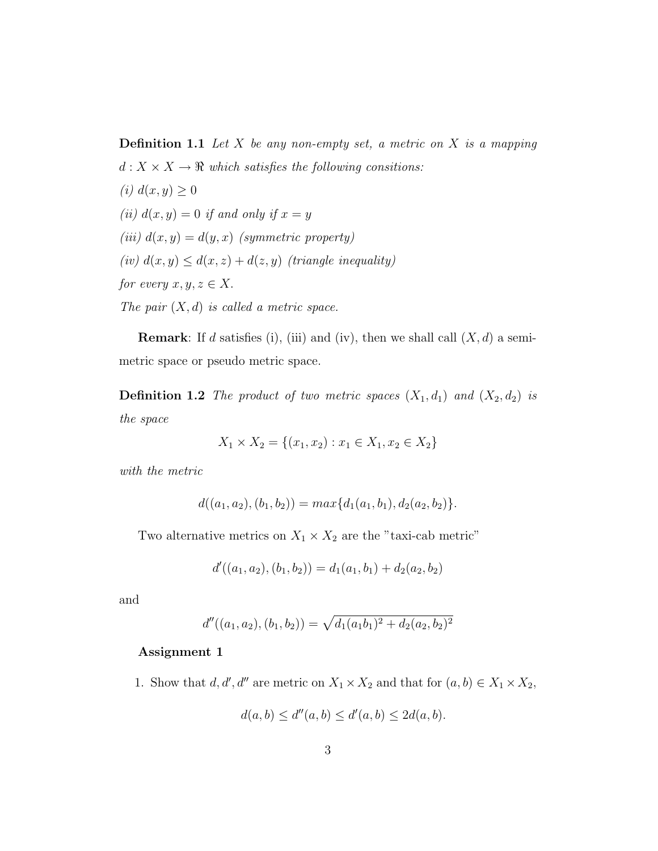**Definition 1.1** Let  $X$  be any non-empty set, a metric on  $X$  is a mapping  $d: X \times X \rightarrow \mathbb{R}$  which satisfies the following consitions: (i)  $d(x, y) \geq 0$ (ii)  $d(x, y) = 0$  if and only if  $x = y$ (iii)  $d(x, y) = d(y, x)$  (symmetric property) (iv)  $d(x, y) \leq d(x, z) + d(z, y)$  (triangle inequality) for every  $x, y, z \in X$ . The pair  $(X, d)$  is called a metric space.

**Remark:** If d satisfies (i), (iii) and (iv), then we shall call  $(X, d)$  a semimetric space or pseudo metric space.

**Definition 1.2** The product of two metric spaces  $(X_1, d_1)$  and  $(X_2, d_2)$  is the space

$$
X_1 \times X_2 = \{(x_1, x_2) : x_1 \in X_1, x_2 \in X_2\}
$$

with the metric

$$
d((a_1, a_2), (b_1, b_2)) = max{d_1(a_1, b_1), d_2(a_2, b_2)}.
$$

Two alternative metrics on  $X_1 \times X_2$  are the "taxi-cab metric"

$$
d'((a_1, a_2), (b_1, b_2)) = d_1(a_1, b_1) + d_2(a_2, b_2)
$$

and

$$
d''((a_1, a_2), (b_1, b_2)) = \sqrt{d_1(a_1b_1)^2 + d_2(a_2, b_2)^2}
$$

#### Assignment 1

1. Show that  $d, d', d''$  are metric on  $X_1 \times X_2$  and that for  $(a, b) \in X_1 \times X_2$ ,

$$
d(a, b) \le d''(a, b) \le d'(a, b) \le 2d(a, b).
$$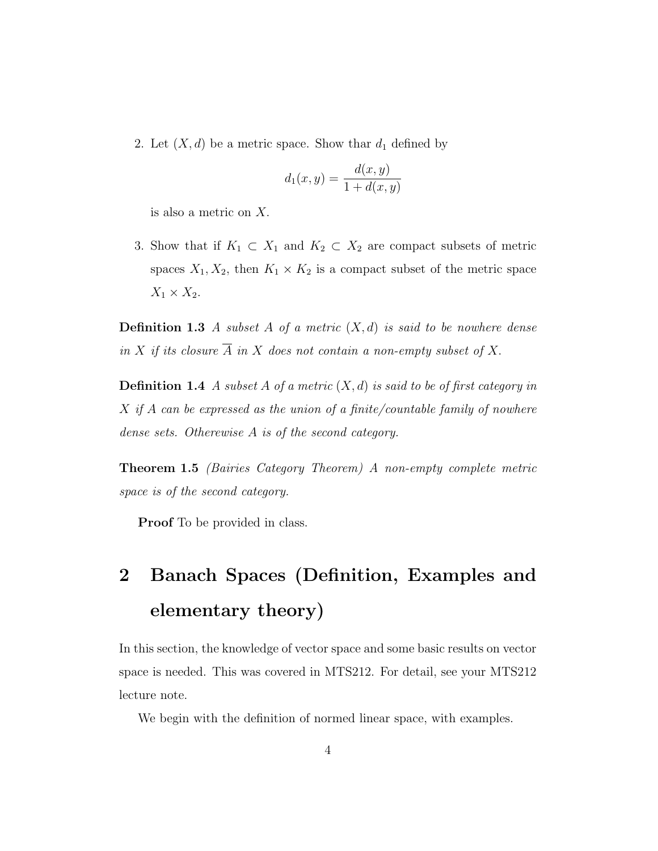2. Let  $(X, d)$  be a metric space. Show thar  $d_1$  defined by

$$
d_1(x, y) = \frac{d(x, y)}{1 + d(x, y)}
$$

is also a metric on X.

3. Show that if  $K_1 \subset X_1$  and  $K_2 \subset X_2$  are compact subsets of metric spaces  $X_1, X_2$ , then  $K_1 \times K_2$  is a compact subset of the metric space  $X_1 \times X_2$ .

**Definition 1.3** A subset A of a metric  $(X,d)$  is said to be nowhere dense in X if its closure  $\overline{A}$  in X does not contain a non-empty subset of X.

**Definition 1.4** A subset A of a metric  $(X, d)$  is said to be of first category in  $X$  if  $A$  can be expressed as the union of a finite/countable family of nowhere dense sets. Otherewise A is of the second category.

Theorem 1.5 (Bairies Category Theorem) A non-empty complete metric space is of the second category.

**Proof** To be provided in class.

# 2 Banach Spaces (Definition, Examples and elementary theory)

In this section, the knowledge of vector space and some basic results on vector space is needed. This was covered in MTS212. For detail, see your MTS212 lecture note.

We begin with the definition of normed linear space, with examples.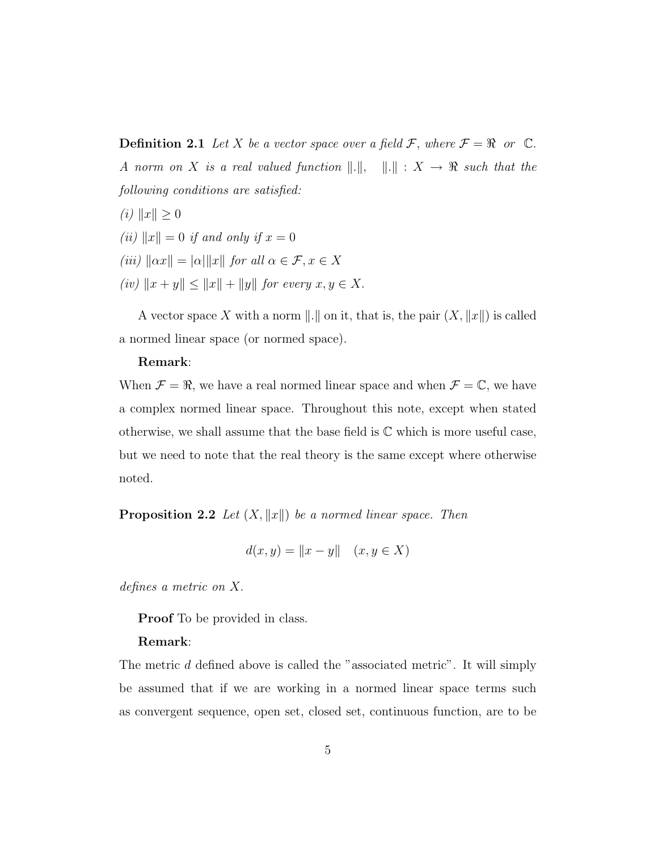**Definition 2.1** Let X be a vector space over a field F, where  $\mathcal{F} = \Re$  or  $\mathbb{C}$ . A norm on X is a real valued function  $\Vert . \Vert, \quad \Vert . \Vert : X \rightarrow \mathbb{R}$  such that the following conditions are satisfied:

- (*i*)  $||x|| \ge 0$
- (ii)  $||x|| = 0$  if and only if  $x = 0$
- (iii)  $\|\alpha x\| = |\alpha| \|x\|$  for all  $\alpha \in \mathcal{F}, x \in X$
- (iv)  $||x + y|| \le ||x|| + ||y||$  for every  $x, y \in X$ .

A vector space X with a norm  $\|.\|$  on it, that is, the pair  $(X, \|x\|)$  is called a normed linear space (or normed space).

#### Remark:

When  $\mathcal{F} = \Re$ , we have a real normed linear space and when  $\mathcal{F} = \mathbb{C}$ , we have a complex normed linear space. Throughout this note, except when stated otherwise, we shall assume that the base field is  $\mathbb C$  which is more useful case, but we need to note that the real theory is the same except where otherwise noted.

**Proposition 2.2** Let  $(X, \|x\|)$  be a normed linear space. Then

$$
d(x, y) = ||x - y|| \quad (x, y \in X)
$$

defines a metric on X.

Proof To be provided in class.

#### Remark:

The metric d defined above is called the "associated metric". It will simply be assumed that if we are working in a normed linear space terms such as convergent sequence, open set, closed set, continuous function, are to be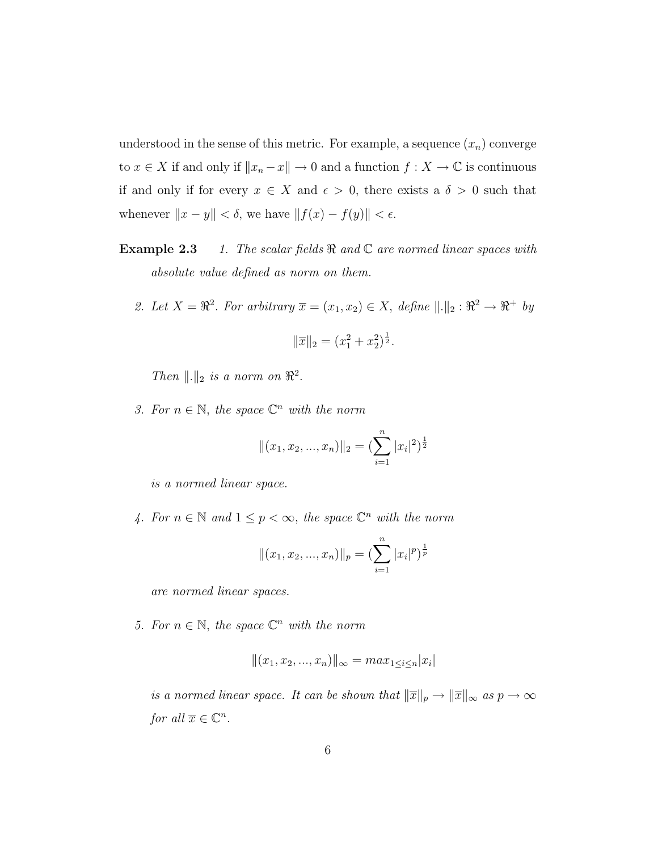understood in the sense of this metric. For example, a sequence  $(x_n)$  converge to  $x \in X$  if and only if  $||x_n - x|| \to 0$  and a function  $f : X \to \mathbb{C}$  is continuous if and only if for every  $x \in X$  and  $\epsilon > 0$ , there exists a  $\delta > 0$  such that whenever  $||x - y|| < \delta$ , we have  $||f(x) - f(y)|| < \epsilon$ .

- **Example 2.3** 1. The scalar fields  $\Re$  and  $\mathbb C$  are normed linear spaces with absolute value defined as norm on them.
	- 2. Let  $X = \mathbb{R}^2$ . For arbitrary  $\overline{x} = (x_1, x_2) \in X$ , define  $\|.\|_2 : \mathbb{R}^2 \to \mathbb{R}^+$  by

$$
\|\overline{x}\|_2 = (x_1^2 + x_2^2)^{\frac{1}{2}}.
$$

Then  $\Vert . \Vert_2$  is a norm on  $\Re^2$ .

3. For  $n \in \mathbb{N}$ , the space  $\mathbb{C}^n$  with the norm

$$
||(x_1, x_2, ..., x_n)||_2 = (\sum_{i=1}^n |x_i|^2)^{\frac{1}{2}}
$$

is a normed linear space.

4. For  $n \in \mathbb{N}$  and  $1 \leq p < \infty$ , the space  $\mathbb{C}^n$  with the norm

$$
||(x_1, x_2, ..., x_n)||_p = \left(\sum_{i=1}^n |x_i|^p\right)^{\frac{1}{p}}
$$

are normed linear spaces.

5. For  $n \in \mathbb{N}$ , the space  $\mathbb{C}^n$  with the norm

$$
||(x_1, x_2, ..., x_n)||_{\infty} = max_{1 \le i \le n} |x_i|
$$

is a normed linear space. It can be shown that  $\|\overline{x}\|_p \to \|\overline{x}\|_{\infty}$  as  $p \to \infty$ for all  $\overline{x} \in \mathbb{C}^n$ .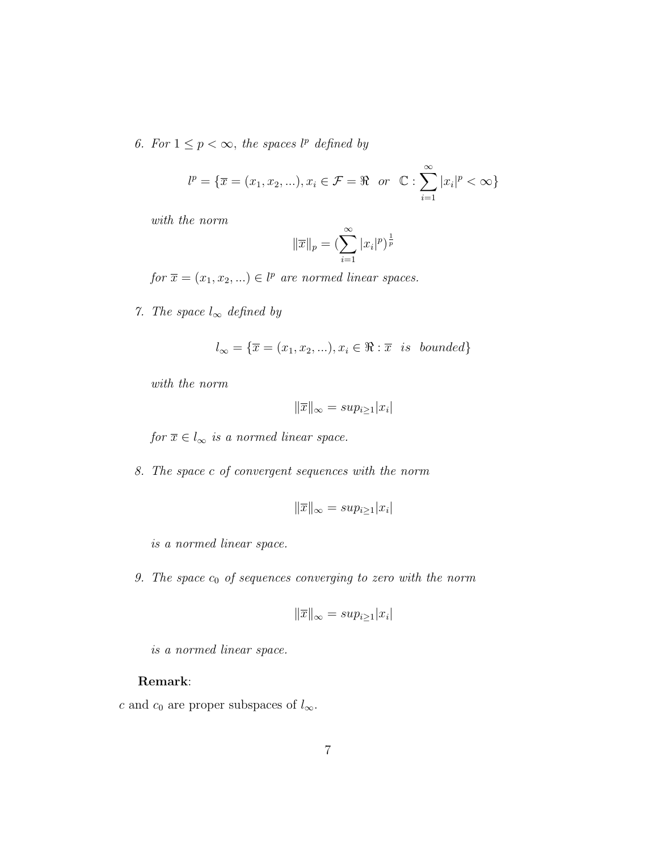6. For  $1 \leq p < \infty$ , the spaces  $l^p$  defined by

$$
l^{p} = \{ \overline{x} = (x_1, x_2, \ldots), x_i \in \mathcal{F} = \Re \text{ or } \mathbb{C} : \sum_{i=1}^{\infty} |x_i|^p < \infty \}
$$

with the norm

$$
\|\overline{x}\|_{p} = \left(\sum_{i=1}^{\infty} |x_{i}|^{p}\right)^{\frac{1}{p}}
$$

for  $\overline{x} = (x_1, x_2, ...) \in l^p$  are normed linear spaces.

7. The space  $l_{\infty}$  defined by

$$
l_{\infty} = \{ \overline{x} = (x_1, x_2, \ldots), x_i \in \Re : \overline{x} \text{ is bounded} \}
$$

with the norm

$$
\|\overline{x}\|_{\infty} = sup_{i\geq 1}|x_i|
$$

for  $\overline{x} \in l_{\infty}$  is a normed linear space.

8. The space c of convergent sequences with the norm

$$
\|\overline{x}\|_{\infty} = sup_{i\geq 1}|x_i|
$$

is a normed linear space.

9. The space  $c_0$  of sequences converging to zero with the norm

$$
\|\overline{x}\|_{\infty} = sup_{i\geq 1}|x_i|
$$

is a normed linear space.

## Remark:

c and  $c_0$  are proper subspaces of  $l_{\infty}$ .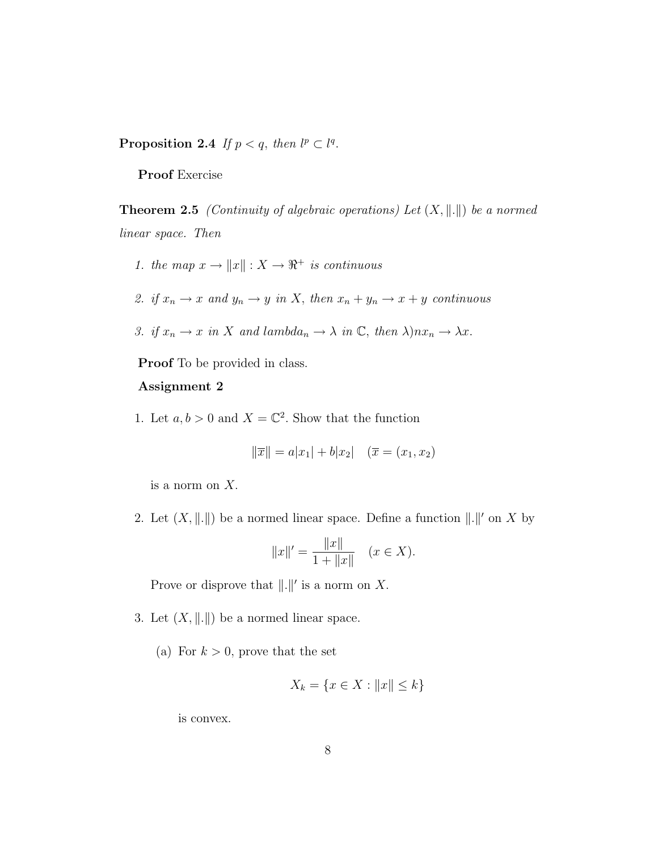Proposition 2.4 If  $p < q$ , then  $l^p \subset l^q$ .

Proof Exercise

**Theorem 2.5** (Continuity of algebraic operations) Let  $(X, \|\cdot\|)$  be a normed linear space. Then

1. the map  $x \to ||x|| : X \to \mathbb{R}^+$  is continuous

2. if 
$$
x_n \to x
$$
 and  $y_n \to y$  in X, then  $x_n + y_n \to x + y$  continuous

3. if 
$$
x_n \to x
$$
 in X and lambda<sub>n</sub>  $\to \lambda$  in C, then  $\lambda$ ) $nx_n \to \lambda x$ .

Proof To be provided in class.

#### Assignment 2

1. Let  $a, b > 0$  and  $X = \mathbb{C}^2$ . Show that the function

$$
\|\overline{x}\| = a|x_1| + b|x_2| \quad (\overline{x} = (x_1, x_2))
$$

is a norm on X.

2. Let  $(X, \|\. \|)$  be a normed linear space. Define a function  $\|\.\|'$  on X by

$$
||x||' = \frac{||x||}{1 + ||x||} \quad (x \in X).
$$

Prove or disprove that  $\|.\|'$  is a norm on X.

- 3. Let  $(X, \|\. \|)$  be a normed linear space.
	- (a) For  $k > 0$ , prove that the set

$$
X_k = \{ x \in X : ||x|| \le k \}
$$

is convex.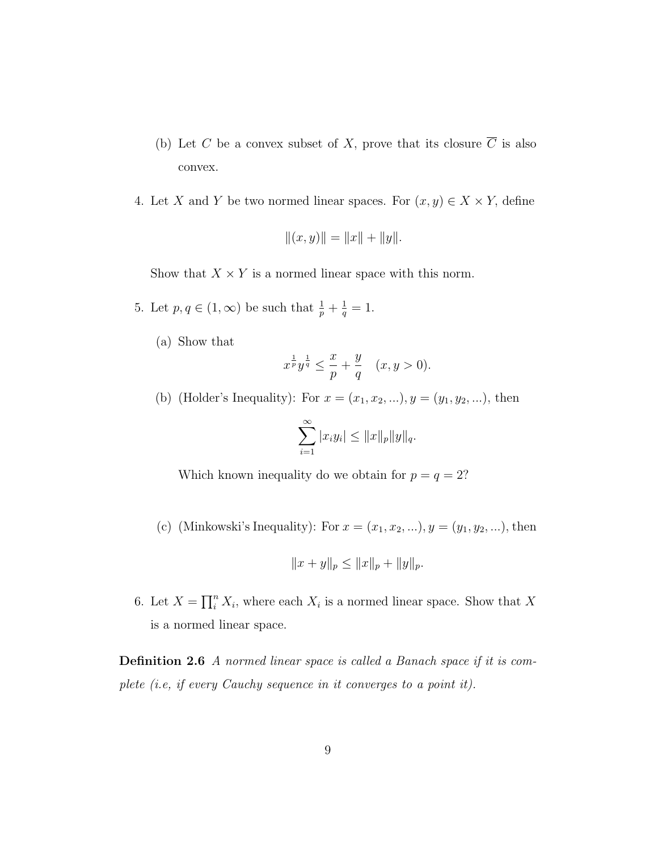- (b) Let C be a convex subset of X, prove that its closure  $\overline{C}$  is also convex.
- 4. Let X and Y be two normed linear spaces. For  $(x, y) \in X \times Y$ , define

$$
||(x,y)|| = ||x|| + ||y||.
$$

Show that  $X \times Y$  is a normed linear space with this norm.

- 5. Let  $p, q \in (1, \infty)$  be such that  $\frac{1}{p} + \frac{1}{q}$  $\frac{1}{q} = 1.$ 
	- (a) Show that

$$
x^{\frac{1}{p}}y^{\frac{1}{q}} \le \frac{x}{p} + \frac{y}{q} \quad (x, y > 0).
$$

(b) (Holder's Inequality): For  $x = (x_1, x_2, ...)$ ,  $y = (y_1, y_2, ...)$ , then

$$
\sum_{i=1}^{\infty} |x_i y_i| \leq ||x||_p ||y||_q.
$$

Which known inequality do we obtain for  $p = q = 2$ ?

(c) (Minkowski's Inequality): For  $x = (x_1, x_2, ...)$ ,  $y = (y_1, y_2, ...)$ , then

$$
||x + y||_p \le ||x||_p + ||y||_p.
$$

6. Let  $X = \prod_i^n$  $i<sup>n</sup> X<sub>i</sub>$ , where each  $X<sub>i</sub>$  is a normed linear space. Show that X is a normed linear space.

**Definition 2.6** A normed linear space is called a Banach space if it is complete (i.e, if every Cauchy sequence in it converges to a point it).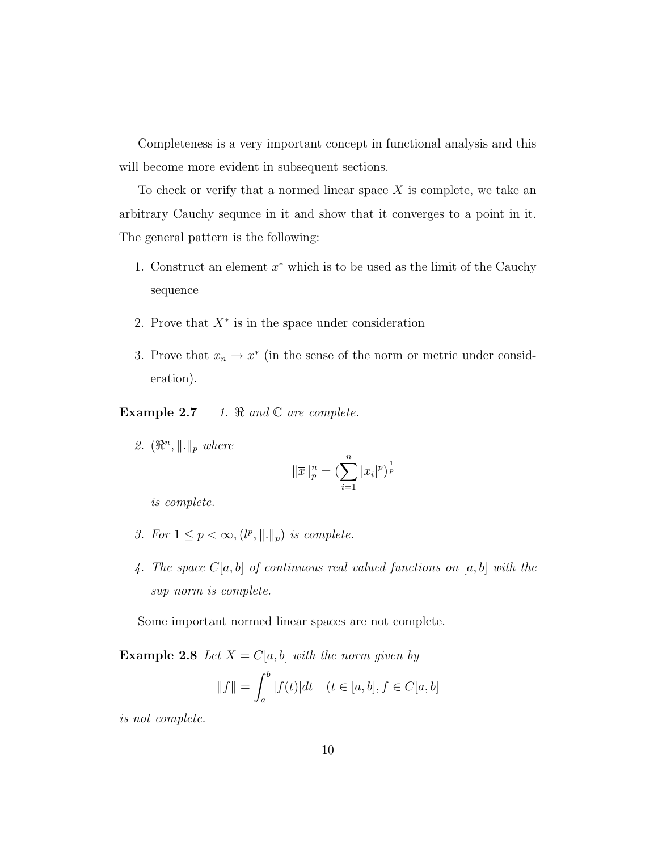Completeness is a very important concept in functional analysis and this will become more evident in subsequent sections.

To check or verify that a normed linear space  $X$  is complete, we take an arbitrary Cauchy sequnce in it and show that it converges to a point in it. The general pattern is the following:

- 1. Construct an element  $x^*$  which is to be used as the limit of the Cauchy sequence
- 2. Prove that  $X^*$  is in the space under consideration
- 3. Prove that  $x_n \to x^*$  (in the sense of the norm or metric under consideration).

Example 2.7 1.  $\Re$  and  $\mathbb C$  are complete.

2.  $(\mathbb{R}^n, \|\. \|_p$  where

$$
\|\overline{x}\|_p^n = \left(\sum_{i=1}^n |x_i|^p\right)^{\frac{1}{p}}
$$

is complete.

- 3. For  $1 \leq p < \infty$ ,  $(l^p, ||.||_p)$  is complete.
- 4. The space  $C[a, b]$  of continuous real valued functions on  $[a, b]$  with the sup norm is complete.

Some important normed linear spaces are not complete.

**Example 2.8** Let  $X = C[a, b]$  with the norm given by  $\Delta b$ 

$$
||f|| = \int_{a}^{b} |f(t)|dt
$$
  $(t \in [a, b], f \in C[a, b])$ 

is not complete.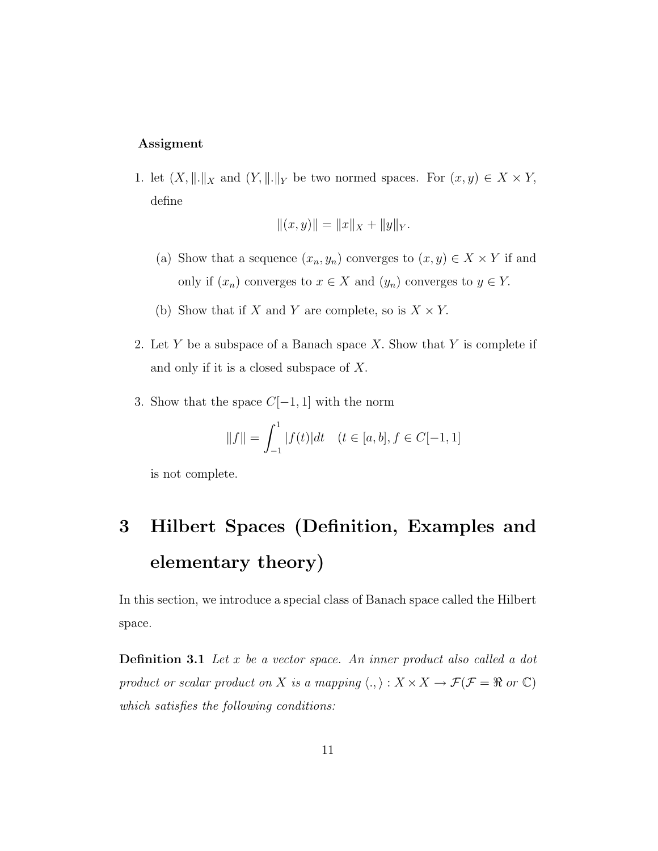#### Assigment

1. let  $(X, \|.\|_X)$  and  $(Y, \|.\|_Y)$  be two normed spaces. For  $(x, y) \in X \times Y$ , define

$$
||(x,y)|| = ||x||_X + ||y||_Y.
$$

- (a) Show that a sequence  $(x_n, y_n)$  converges to  $(x, y) \in X \times Y$  if and only if  $(x_n)$  converges to  $x \in X$  and  $(y_n)$  converges to  $y \in Y$ .
- (b) Show that if X and Y are complete, so is  $X \times Y$ .
- 2. Let Y be a subspace of a Banach space X. Show that Y is complete if and only if it is a closed subspace of X.
- 3. Show that the space  $C[-1,1]$  with the norm

$$
||f|| = \int_{-1}^{1} |f(t)|dt \quad (t \in [a, b], f \in C[-1, 1]
$$

is not complete.

# 3 Hilbert Spaces (Definition, Examples and elementary theory)

In this section, we introduce a special class of Banach space called the Hilbert space.

**Definition 3.1** Let x be a vector space. An inner product also called a dot product or scalar product on  $X$  is a mapping  $\langle ., \rangle : X \times X \to \mathcal{F}(\mathcal{F} = \Re$  or  $\mathbb{C})$ which satisfies the following conditions: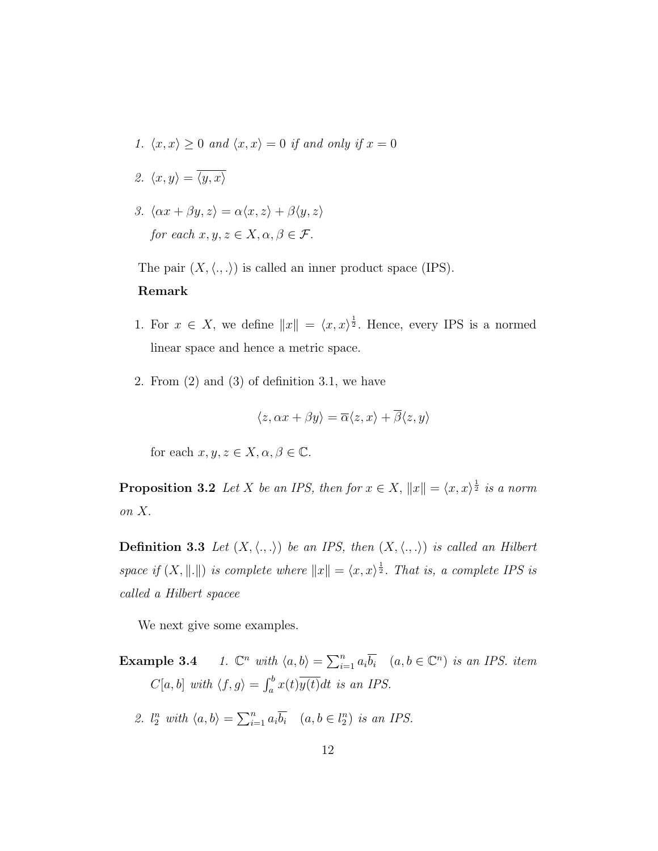- 1.  $\langle x, x \rangle \ge 0$  and  $\langle x, x \rangle = 0$  if and only if  $x = 0$
- 2.  $\langle x, y \rangle = \overline{\langle y, x \rangle}$
- 3.  $\langle \alpha x + \beta y, z \rangle = \alpha \langle x, z \rangle + \beta \langle y, z \rangle$ for each  $x, y, z \in X, \alpha, \beta \in \mathcal{F}$ .

The pair  $(X, \langle ., . \rangle)$  is called an inner product space (IPS).

#### Remark

- 1. For  $x \in X$ , we define  $||x|| = \langle x, x \rangle^{\frac{1}{2}}$ . Hence, every IPS is a normed linear space and hence a metric space.
- 2. From (2) and (3) of definition 3.1, we have

$$
\langle z, \alpha x + \beta y \rangle = \overline{\alpha} \langle z, x \rangle + \overline{\beta} \langle z, y \rangle
$$

for each  $x, y, z \in X, \alpha, \beta \in \mathbb{C}$ .

**Proposition 3.2** Let X be an IPS, then for  $x \in X$ ,  $||x|| = \langle x, x \rangle^{\frac{1}{2}}$  is a norm on X.

**Definition 3.3** Let  $(X, \langle.,.\rangle)$  be an IPS, then  $(X, \langle.,.\rangle)$  is called an Hilbert space if  $(X, \|.\|)$  is complete where  $||x|| = \langle x, x \rangle^{\frac{1}{2}}$ . That is, a complete IPS is called a Hilbert spacee

We next give some examples.

- Example 3.4 <sup>n</sup> with  $\langle a, b \rangle = \sum_{i=1}^n a_i$  $\sum_{i=1}^n a_i \overline{b_i}$   $(a, b \in \mathbb{C}^n)$  is an IPS. item  $C[a, b]$  with  $\langle f, g \rangle = \int_a^b$  $\int_a^b x(t)y(t)dt$  is an IPS.
	- 2.  $l_2^n$  with  $\langle a, b \rangle =$  $\sum_{n}$  $\sum_{i=1}^n a_i \overline{b_i}$   $(a, b \in l_2^n)$  is an IPS.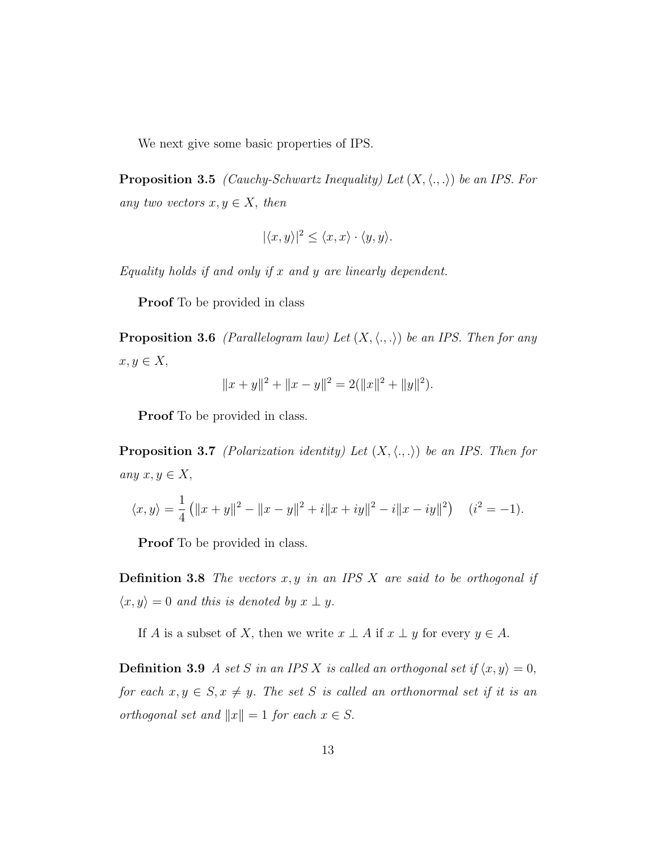We next give some basic properties of IPS.

**Proposition 3.5** (Cauchy-Schwartz Inequality) Let  $(X, \langle ., . \rangle)$  be an IPS. For any two vectors  $x, y \in X$ , then

$$
|\langle x, y \rangle|^2 \le \langle x, x \rangle \cdot \langle y, y \rangle.
$$

Equality holds if and only if  $x$  and  $y$  are linearly dependent.

Proof To be provided in class

**Proposition 3.6** (Parallelogram law) Let  $(X, \langle ., . \rangle)$  be an IPS. Then for any  $x, y \in X$ ,

$$
||x + y||2 + ||x - y||2 = 2(||x||2 + ||y||2).
$$

Proof To be provided in class.

**Proposition 3.7** (Polarization identity) Let  $(X, \langle ., . \rangle)$  be an IPS. Then for any  $x, y \in X$ ,

$$
\langle x, y \rangle = \frac{1}{4} (||x + y||^2 - ||x - y||^2 + i||x + iy||^2 - i||x - iy||^2) \quad (i^2 = -1).
$$

Proof To be provided in class.

**Definition 3.8** The vectors  $x, y$  in an IPS  $X$  are said to be orthogonal if  $\langle x, y \rangle = 0$  and this is denoted by  $x \perp y$ .

If A is a subset of X, then we write  $x \perp A$  if  $x \perp y$  for every  $y \in A$ .

**Definition 3.9** A set S in an IPS X is called an orthogonal set if  $\langle x, y \rangle = 0$ , for each  $x, y \in S, x \neq y$ . The set S is called an orthonormal set if it is an orthogonal set and  $||x|| = 1$  for each  $x \in S$ .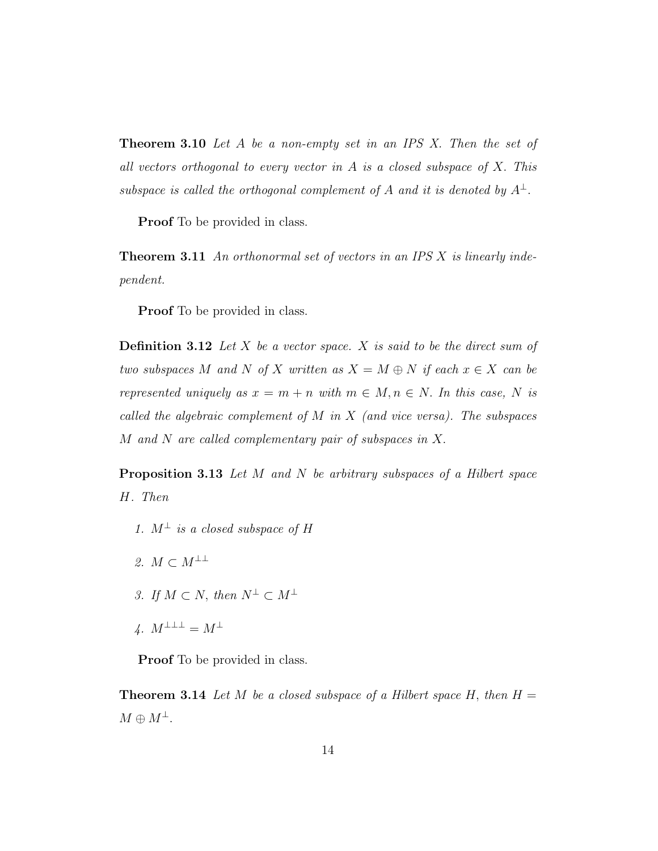**Theorem 3.10** Let A be a non-empty set in an IPS X. Then the set of all vectors orthogonal to every vector in A is a closed subspace of X. This subspace is called the orthogonal complement of A and it is denoted by  $A^{\perp}$ .

Proof To be provided in class.

**Theorem 3.11** An orthonormal set of vectors in an IPS  $X$  is linearly independent.

Proof To be provided in class.

**Definition 3.12** Let X be a vector space. X is said to be the direct sum of two subspaces M and N of X written as  $X = M \oplus N$  if each  $x \in X$  can be represented uniquely as  $x = m + n$  with  $m \in M, n \in N$ . In this case, N is called the algebraic complement of M in X (and vice versa). The subspaces M and N are called complementary pair of subspaces in X.

**Proposition 3.13** Let  $M$  and  $N$  be arbitrary subspaces of a Hilbert space H. Then

- 1.  $M^{\perp}$  is a closed subspace of H
- 2.  $M \subset M^{\perp \perp}$
- 3. If  $M \subset N$ , then  $N^{\perp} \subset M^{\perp}$
- 4.  $M^{\perp \perp \perp} = M^{\perp}$

**Proof** To be provided in class.

**Theorem 3.14** Let M be a closed subspace of a Hilbert space H, then  $H =$  $M \oplus M^{\perp}$ .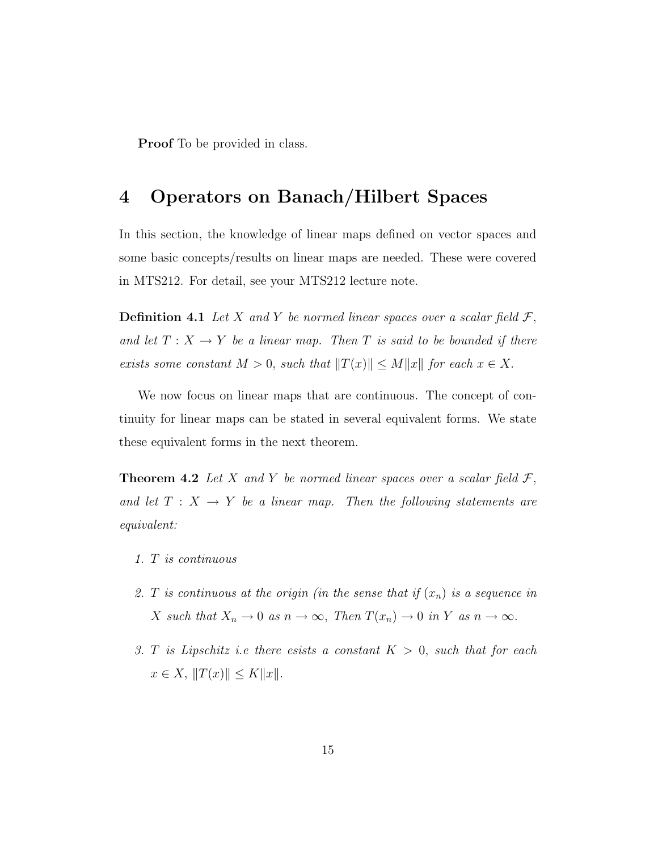**Proof** To be provided in class.

# 4 Operators on Banach/Hilbert Spaces

In this section, the knowledge of linear maps defined on vector spaces and some basic concepts/results on linear maps are needed. These were covered in MTS212. For detail, see your MTS212 lecture note.

**Definition 4.1** Let X and Y be normed linear spaces over a scalar field  $\mathcal{F}$ , and let  $T : X \longrightarrow Y$  be a linear map. Then T is said to be bounded if there exists some constant  $M > 0$ , such that  $||T(x)|| \le M||x||$  for each  $x \in X$ .

We now focus on linear maps that are continuous. The concept of continuity for linear maps can be stated in several equivalent forms. We state these equivalent forms in the next theorem.

**Theorem 4.2** Let X and Y be normed linear spaces over a scalar field  $\mathcal{F}$ , and let  $T : X \rightarrow Y$  be a linear map. Then the following statements are equivalent:

- 1. T is continuous
- 2. T is continuous at the origin (in the sense that if  $(x_n)$  is a sequence in X such that  $X_n \to 0$  as  $n \to \infty$ , Then  $T(x_n) \to 0$  in Y as  $n \to \infty$ .
- 3. T is Lipschitz i.e there esists a constant  $K > 0$ , such that for each  $x \in X$ ,  $||T(x)|| \le K||x||$ .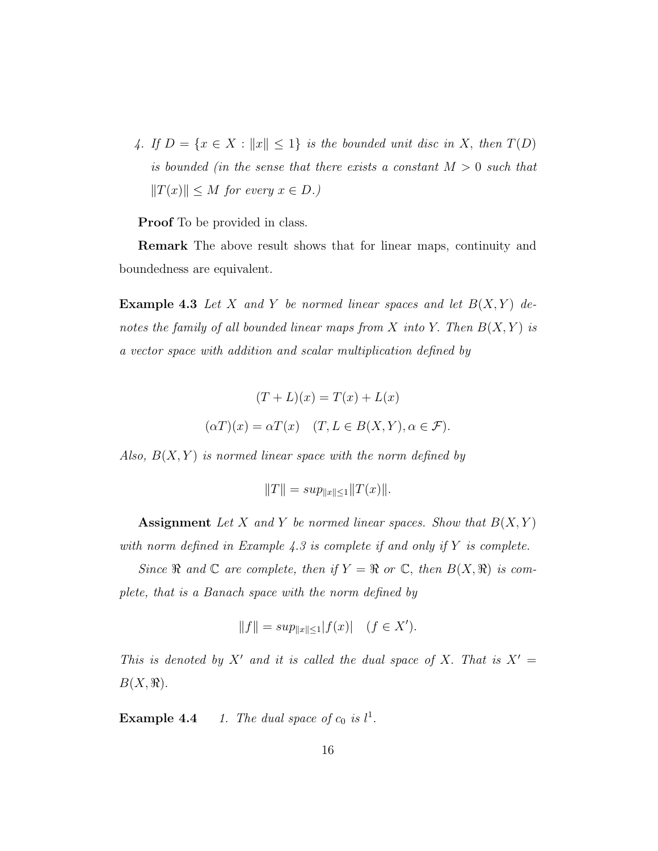4. If  $D = \{x \in X : ||x|| \leq 1\}$  is the bounded unit disc in X, then  $T(D)$ is bounded (in the sense that there exists a constant  $M > 0$  such that  $||T(x)|| \leq M$  for every  $x \in D$ .)

Proof To be provided in class.

Remark The above result shows that for linear maps, continuity and boundedness are equivalent.

**Example 4.3** Let X and Y be normed linear spaces and let  $B(X, Y)$  denotes the family of all bounded linear maps from X into Y. Then  $B(X, Y)$  is a vector space with addition and scalar multiplication defined by

$$
(T + L)(x) = T(x) + L(x)
$$

$$
(\alpha T)(x) = \alpha T(x) \quad (T, L \in B(X, Y), \alpha \in \mathcal{F}).
$$

Also,  $B(X, Y)$  is normed linear space with the norm defined by

$$
||T|| = sup_{||x|| \le 1} ||T(x)||.
$$

Assignment Let X and Y be normed linear spaces. Show that  $B(X, Y)$ with norm defined in Example 4.3 is complete if and only if  $Y$  is complete.

Since  $\Re$  and  $\mathbb C$  are complete, then if  $Y = \Re$  or  $\mathbb C$ , then  $B(X, \Re)$  is complete, that is a Banach space with the norm defined by

$$
||f|| = \sup_{||x|| \le 1} |f(x)| \quad (f \in X').
$$

This is denoted by X' and it is called the dual space of X. That is  $X' =$  $B(X,\mathbb{R}).$ 

**Example 4.4** 1. The dual space of  $c_0$  is  $l^1$ .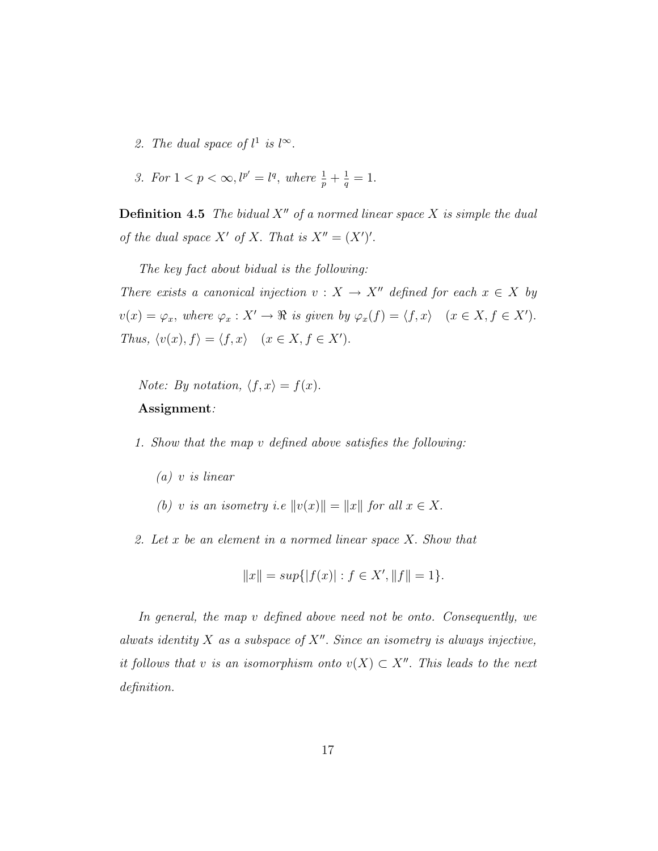- 2. The dual space of  $l^1$  is  $l^{\infty}$ .
- 3. For  $1 < p < \infty, l^{p'} = l^q$ , where  $\frac{1}{p} + \frac{1}{q}$  $\frac{1}{q} = 1.$

**Definition 4.5** The bidual  $X''$  of a normed linear space  $X$  is simple the dual of the dual space X' of X. That is  $X'' = (X')'.$ 

The key fact about bidual is the following: There exists a canonical injection  $v : X \to X''$  defined for each  $x \in X$  by  $v(x) = \varphi_x$ , where  $\varphi_x : X' \to \Re$  is given by  $\varphi_x(f) = \langle f, x \rangle$   $(x \in X, f \in X')$ . Thus,  $\langle v(x), f \rangle = \langle f, x \rangle$   $(x \in X, f \in X')$ .

*Note:* By notation,  $\langle f, x \rangle = f(x)$ . Assignment:

1. Show that the map v defined above satisfies the following:

- (a) v is linear
- (b) v is an isometry i.e  $||v(x)|| = ||x||$  for all  $x \in X$ .
- 2. Let x be an element in a normed linear space X. Show that

$$
||x|| = \sup\{|f(x)| : f \in X', ||f|| = 1\}.
$$

In general, the map v defined above need not be onto. Consequently, we alwats identity  $X$  as a subspace of  $X''$ . Since an isometry is always injective, it follows that v is an isomorphism onto  $v(X) \subset X''$ . This leads to the next definition.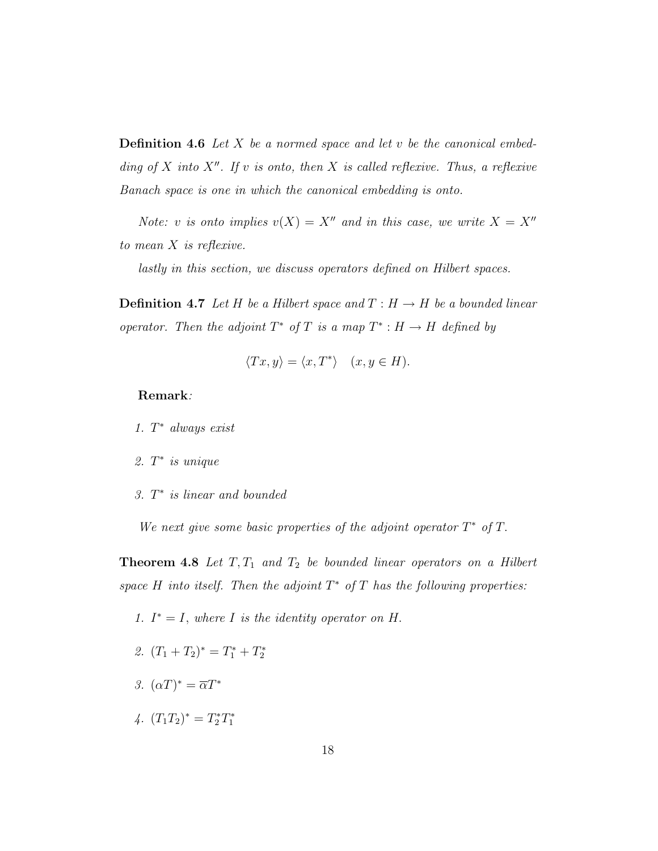**Definition 4.6** Let X be a normed space and let v be the canonical embedding of X into  $X''$ . If v is onto, then X is called reflexive. Thus, a reflexive Banach space is one in which the canonical embedding is onto.

Note: v is onto implies  $v(X) = X''$  and in this case, we write  $X = X''$ to mean X is reflexive.

lastly in this section, we discuss operators defined on Hilbert spaces.

**Definition 4.7** Let H be a Hilbert space and  $T : H \to H$  be a bounded linear operator. Then the adjoint  $T^*$  of T is a map  $T^*: H \to H$  defined by

$$
\langle Tx, y \rangle = \langle x, T^* \rangle \quad (x, y \in H).
$$

#### Remark:

- 1.  $T^*$  always exist
- 2.  $T^*$  is unique
- 3. T<sup>\*</sup> is linear and bounded

We next give some basic properties of the adjoint operator  $T^*$  of  $T$ .

**Theorem 4.8** Let  $T, T_1$  and  $T_2$  be bounded linear operators on a Hilbert space H into itself. Then the adjoint  $T^*$  of T has the following properties:

- 1.  $I^* = I$ , where I is the identity operator on H.
- 2.  $(T_1 + T_2)^* = T_1^* + T_2^*$
- 3.  $(\alpha T)^* = \overline{\alpha} T^*$
- 4.  $(T_1T_2)^* = T_2^*T_1^*$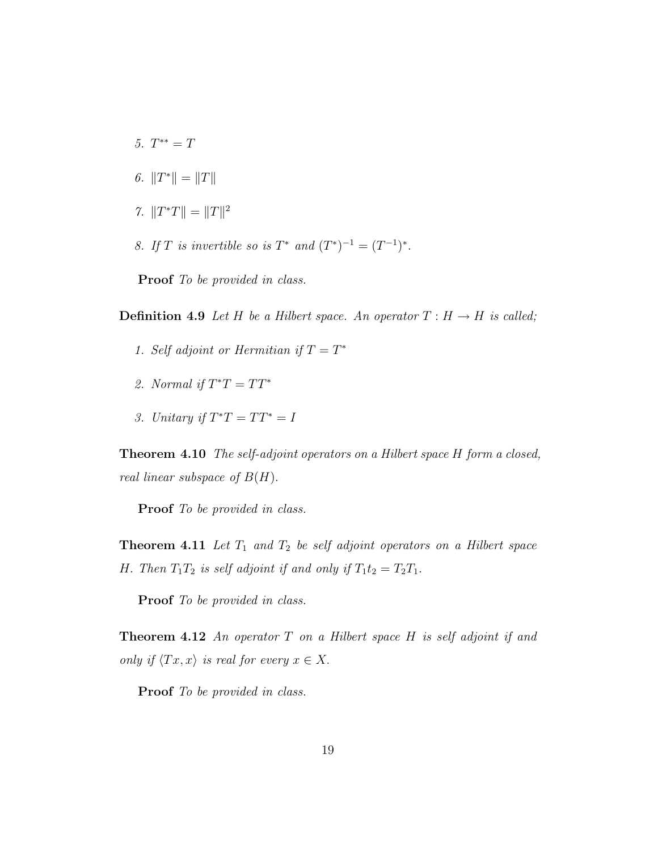- 5.  $T^{**} = T$
- 6.  $||T^*|| = ||T||$
- 7.  $||T^*T|| = ||T||^2$
- 8. If T is invertible so is  $T^*$  and  $(T^*)^{-1} = (T^{-1})^*$ .

Proof To be provided in class.

**Definition 4.9** Let H be a Hilbert space. An operator  $T : H \to H$  is called;

- 1. Self adjoint or Hermitian if  $T = T^*$
- 2. Normal if  $T^*T = TT^*$
- 3. Unitary if  $T^*T = TT^* = I$

Theorem 4.10 The self-adjoint operators on a Hilbert space H form a closed, real linear subspace of  $B(H)$ .

Proof To be provided in class.

**Theorem 4.11** Let  $T_1$  and  $T_2$  be self adjoint operators on a Hilbert space H. Then  $T_1T_2$  is self adjoint if and only if  $T_1t_2 = T_2T_1$ .

Proof To be provided in class.

**Theorem 4.12** An operator T on a Hilbert space H is self adjoint if and only if  $\langle Tx, x \rangle$  is real for every  $x \in X$ .

**Proof** To be provided in class.